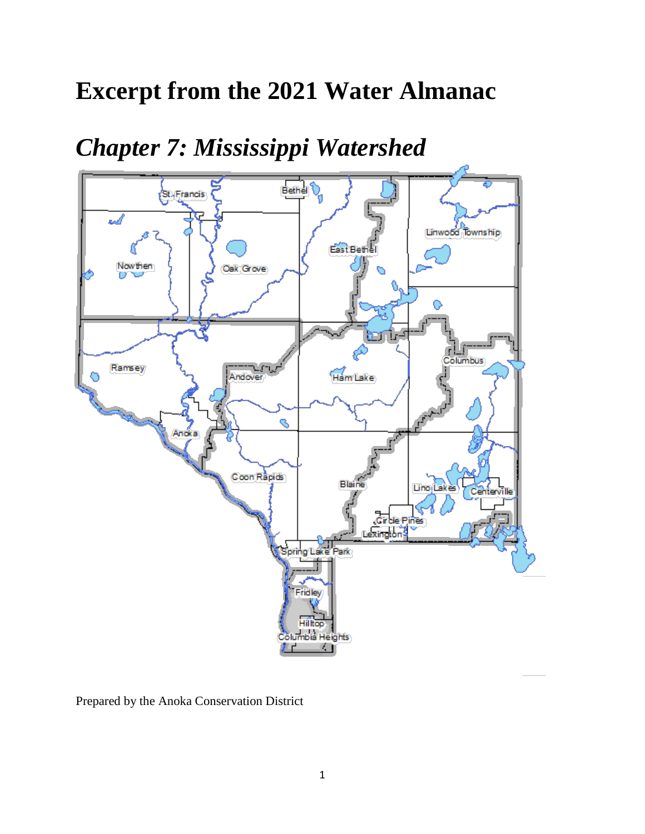# <span id="page-0-0"></span>**Excerpt from the 2021 Water Almanac**

# *Chapter 7: Mississippi Watershed*



Prepared by the Anoka Conservation District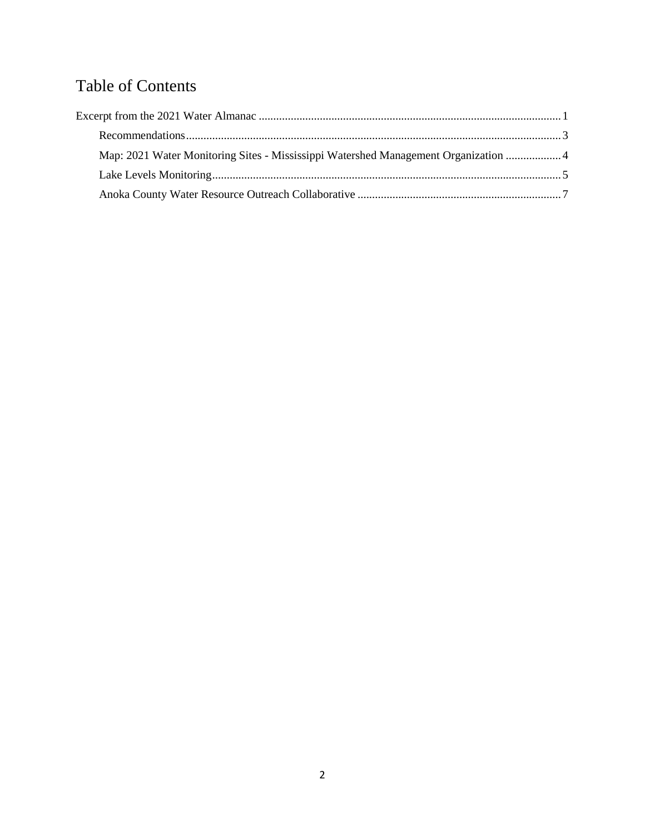### Table of Contents

| Map: 2021 Water Monitoring Sites - Mississippi Watershed Management Organization  4 |  |
|-------------------------------------------------------------------------------------|--|
|                                                                                     |  |
|                                                                                     |  |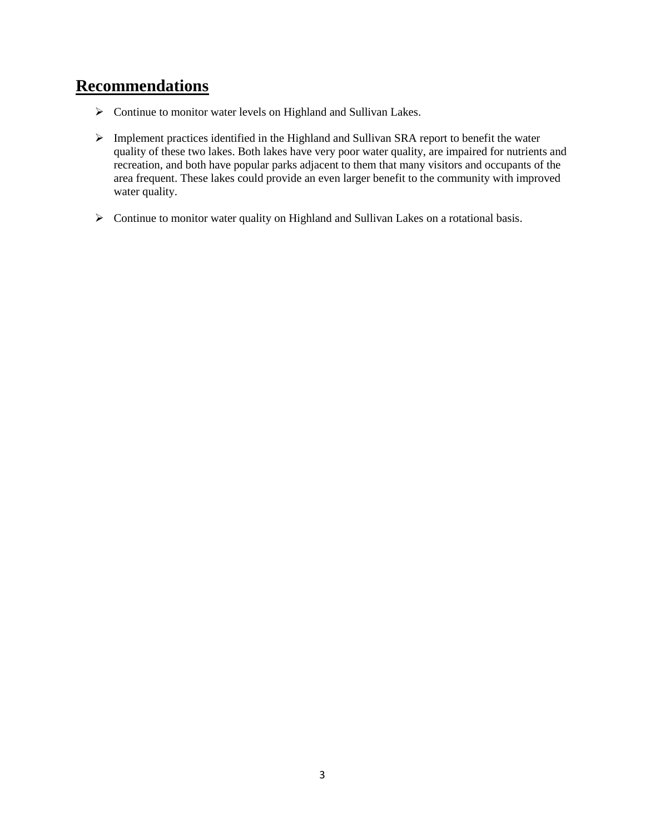#### <span id="page-2-0"></span>**Recommendations**

- > Continue to monitor water levels on Highland and Sullivan Lakes.
- Implement practices identified in the Highland and Sullivan SRA report to benefit the water quality of these two lakes. Both lakes have very poor water quality, are impaired for nutrients and recreation, and both have popular parks adjacent to them that many visitors and occupants of the area frequent. These lakes could provide an even larger benefit to the community with improved water quality.
- Continue to monitor water quality on Highland and Sullivan Lakes on a rotational basis.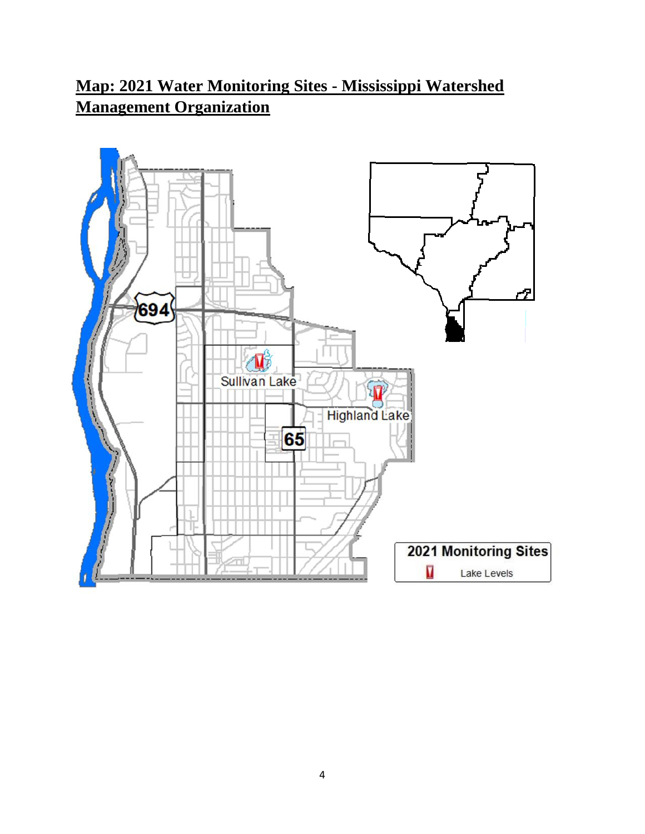### <span id="page-3-0"></span>**Map: 2021 Water Monitoring Sites - Mississippi Watershed Management Organization**

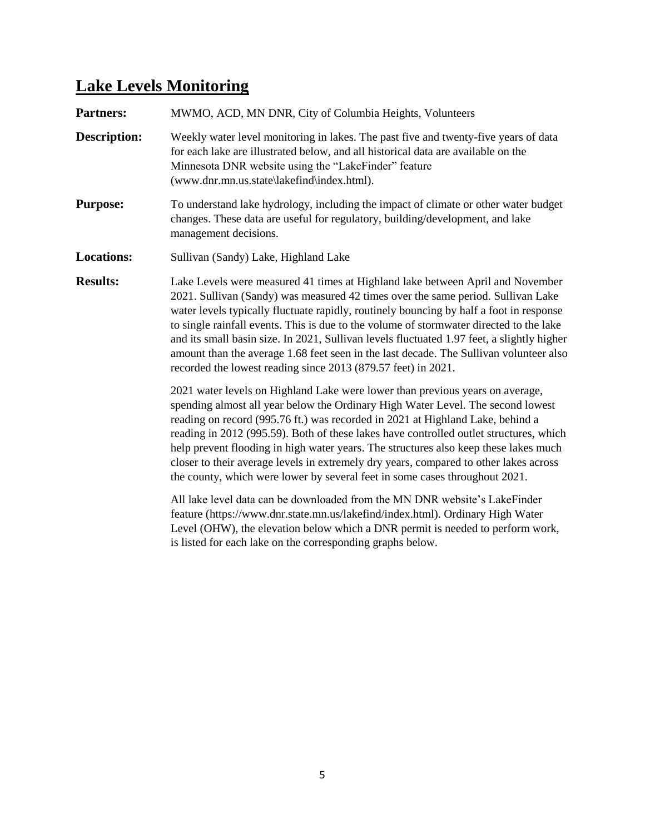## <span id="page-4-0"></span>**Lake Levels Monitoring**

| <b>Partners:</b>    | MWMO, ACD, MN DNR, City of Columbia Heights, Volunteers                                                                                                                                                                                                                                                                                                                                                                                                                                                                                                                                                                                                                                                                                                                                                                                                        |  |  |  |
|---------------------|----------------------------------------------------------------------------------------------------------------------------------------------------------------------------------------------------------------------------------------------------------------------------------------------------------------------------------------------------------------------------------------------------------------------------------------------------------------------------------------------------------------------------------------------------------------------------------------------------------------------------------------------------------------------------------------------------------------------------------------------------------------------------------------------------------------------------------------------------------------|--|--|--|
| <b>Description:</b> | Weekly water level monitoring in lakes. The past five and twenty-five years of data<br>for each lake are illustrated below, and all historical data are available on the<br>Minnesota DNR website using the "LakeFinder" feature<br>(www.dnr.mn.us.state\lakefind\index.html).                                                                                                                                                                                                                                                                                                                                                                                                                                                                                                                                                                                 |  |  |  |
| <b>Purpose:</b>     | To understand lake hydrology, including the impact of climate or other water budget<br>changes. These data are useful for regulatory, building/development, and lake<br>management decisions.                                                                                                                                                                                                                                                                                                                                                                                                                                                                                                                                                                                                                                                                  |  |  |  |
| <b>Locations:</b>   | Sullivan (Sandy) Lake, Highland Lake                                                                                                                                                                                                                                                                                                                                                                                                                                                                                                                                                                                                                                                                                                                                                                                                                           |  |  |  |
| <b>Results:</b>     | Lake Levels were measured 41 times at Highland lake between April and November<br>2021. Sullivan (Sandy) was measured 42 times over the same period. Sullivan Lake<br>water levels typically fluctuate rapidly, routinely bouncing by half a foot in response<br>to single rainfall events. This is due to the volume of stormwater directed to the lake<br>and its small basin size. In 2021, Sullivan levels fluctuated 1.97 feet, a slightly higher<br>amount than the average 1.68 feet seen in the last decade. The Sullivan volunteer also<br>recorded the lowest reading since 2013 (879.57 feet) in 2021.                                                                                                                                                                                                                                              |  |  |  |
|                     | 2021 water levels on Highland Lake were lower than previous years on average,<br>spending almost all year below the Ordinary High Water Level. The second lowest<br>reading on record (995.76 ft.) was recorded in 2021 at Highland Lake, behind a<br>reading in 2012 (995.59). Both of these lakes have controlled outlet structures, which<br>help prevent flooding in high water years. The structures also keep these lakes much<br>closer to their average levels in extremely dry years, compared to other lakes across<br>the county, which were lower by several feet in some cases throughout 2021.<br>All lake level data can be downloaded from the MN DNR website's LakeFinder<br>feature (https://www.dnr.state.mn.us/lakefind/index.html). Ordinary High Water<br>Level (OHW), the elevation below which a DNR permit is needed to perform work, |  |  |  |
|                     | is listed for each lake on the corresponding graphs below.                                                                                                                                                                                                                                                                                                                                                                                                                                                                                                                                                                                                                                                                                                                                                                                                     |  |  |  |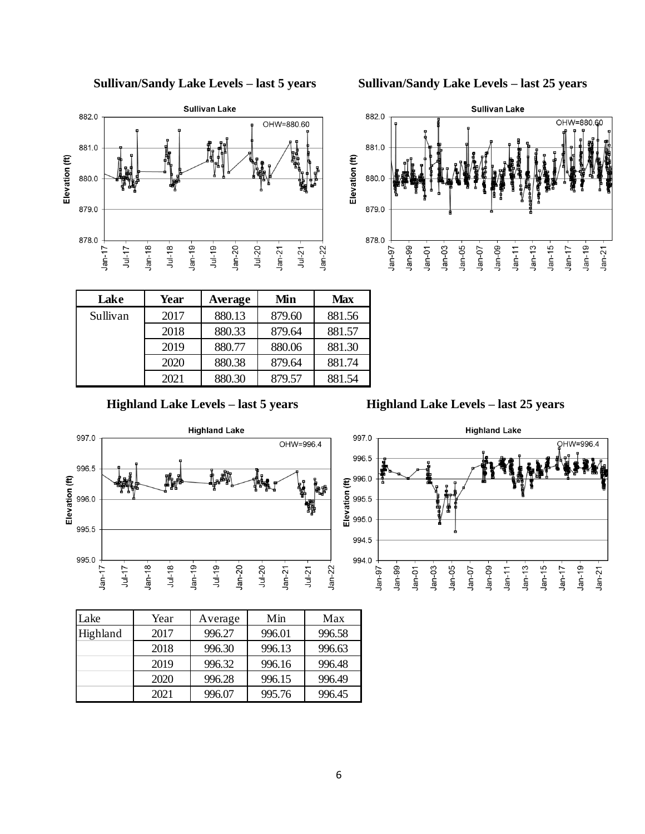

882.0

881.0

880.0

879.0

878.0

 $Jan-99 -$ 

 $Jan-97$ 

 $Jan-01$  $Jan-03$ 

Elevation (ft)

**Sullivan Lake** 

OHW=880.60

 $Jan-19$ 

 $Jan-21$ 

 $Jan-13$ 

 $Jan-11$ 

 $Jan-15$ 

 $Jan-17$ 



| Lake     | Year | Average | Min    | <b>Max</b> |
|----------|------|---------|--------|------------|
| Sullivan | 2017 | 880.13  | 879.60 | 881.56     |
|          | 2018 | 880.33  | 879.64 | 881.57     |
|          | 2019 | 880.77  | 880.06 | 881.30     |
|          | 2020 | 880.38  | 879.64 | 881.74     |
|          | 2021 | 880.30  | 879.57 | 881.54     |

**Highland Lake Levels – last 5 years Highland Lake Levels – last 25 years**

 $Jan-05$ 

 $Jan-07$ 

 $Jan-09$ 





| Lake     | Year | Average | Min    | Max    |
|----------|------|---------|--------|--------|
| Highland | 2017 | 996.27  | 996.01 | 996.58 |
|          | 2018 | 996.30  | 996.13 | 996.63 |
|          | 2019 | 996.32  | 996.16 | 996.48 |
|          | 2020 | 996.28  | 996.15 | 996.49 |
|          | 2021 | 996.07  | 995.76 | 996.45 |